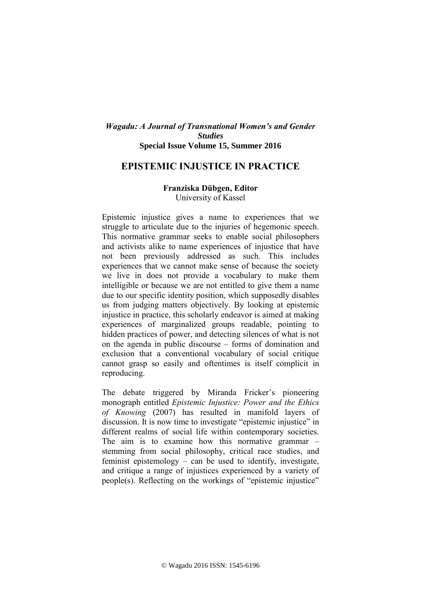## *Wagadu: A Journal of Transnational Women's and Gender Studies* **Special Issue Volume 15, Summer 2016**

## **EPISTEMIC INJUSTICE IN PRACTICE**

## **Franziska Dübgen, Editor** University of Kassel

Epistemic injustice gives a name to experiences that we struggle to articulate due to the injuries of hegemonic speech. This normative grammar seeks to enable social philosophers and activists alike to name experiences of injustice that have not been previously addressed as such. This includes experiences that we cannot make sense of because the society we live in does not provide a vocabulary to make them intelligible or because we are not entitled to give them a name due to our specific identity position, which supposedly disables us from judging matters objectively. By looking at epistemic injustice in practice, this scholarly endeavor is aimed at making experiences of marginalized groups readable, pointing to hidden practices of power, and detecting silences of what is not on the agenda in public discourse – forms of domination and exclusion that a conventional vocabulary of social critique cannot grasp so easily and oftentimes is itself complicit in reproducing.

The debate triggered by Miranda Fricker's pioneering monograph entitled *Epistemic Injustice: Power and the Ethics of Knowing* (2007) has resulted in manifold layers of discussion. It is now time to investigate "epistemic injustice" in different realms of social life within contemporary societies. The aim is to examine how this normative grammar – stemming from social philosophy, critical race studies, and feminist epistemology – can be used to identify, investigate, and critique a range of injustices experienced by a variety of people(s). Reflecting on the workings of "epistemic injustice"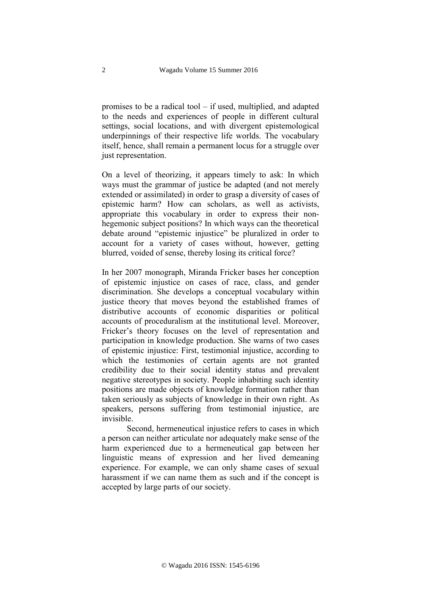promises to be a radical tool – if used, multiplied, and adapted to the needs and experiences of people in different cultural settings, social locations, and with divergent epistemological underpinnings of their respective life worlds. The vocabulary itself, hence, shall remain a permanent locus for a struggle over just representation.

On a level of theorizing, it appears timely to ask: In which ways must the grammar of justice be adapted (and not merely extended or assimilated) in order to grasp a diversity of cases of epistemic harm? How can scholars, as well as activists, appropriate this vocabulary in order to express their nonhegemonic subject positions? In which ways can the theoretical debate around "epistemic injustice" be pluralized in order to account for a variety of cases without, however, getting blurred, voided of sense, thereby losing its critical force?

In her 2007 monograph, Miranda Fricker bases her conception of epistemic injustice on cases of race, class, and gender discrimination. She develops a conceptual vocabulary within justice theory that moves beyond the established frames of distributive accounts of economic disparities or political accounts of proceduralism at the institutional level. Moreover, Fricker's theory focuses on the level of representation and participation in knowledge production. She warns of two cases of epistemic injustice: First, testimonial injustice, according to which the testimonies of certain agents are not granted credibility due to their social identity status and prevalent negative stereotypes in society. People inhabiting such identity positions are made objects of knowledge formation rather than taken seriously as subjects of knowledge in their own right. As speakers, persons suffering from testimonial injustice, are invisible.

Second, hermeneutical injustice refers to cases in which a person can neither articulate nor adequately make sense of the harm experienced due to a hermeneutical gap between her linguistic means of expression and her lived demeaning experience. For example, we can only shame cases of sexual harassment if we can name them as such and if the concept is accepted by large parts of our society.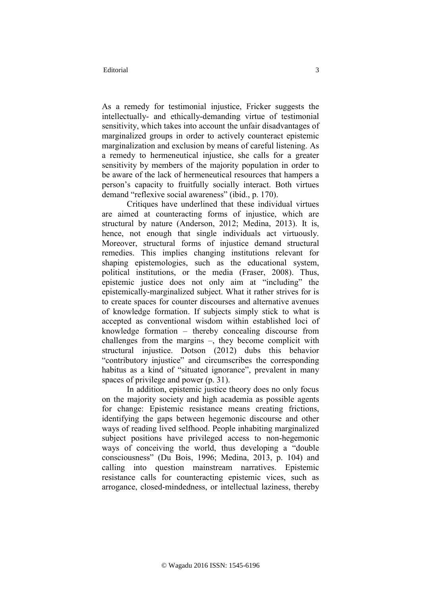As a remedy for testimonial injustice, Fricker suggests the intellectually- and ethically-demanding virtue of testimonial sensitivity, which takes into account the unfair disadvantages of marginalized groups in order to actively counteract epistemic marginalization and exclusion by means of careful listening. As a remedy to hermeneutical injustice, she calls for a greater sensitivity by members of the majority population in order to be aware of the lack of hermeneutical resources that hampers a person's capacity to fruitfully socially interact. Both virtues demand "reflexive social awareness" (ibid., p. 170).

Critiques have underlined that these individual virtues are aimed at counteracting forms of injustice, which are structural by nature (Anderson, 2012; Medina, 2013). It is, hence, not enough that single individuals act virtuously. Moreover, structural forms of injustice demand structural remedies. This implies changing institutions relevant for shaping epistemologies, such as the educational system, political institutions, or the media (Fraser, 2008). Thus, epistemic justice does not only aim at "including" the epistemically-marginalized subject. What it rather strives for is to create spaces for counter discourses and alternative avenues of knowledge formation. If subjects simply stick to what is accepted as conventional wisdom within established loci of knowledge formation – thereby concealing discourse from challenges from the margins –, they become complicit with structural injustice. Dotson (2012) dubs this behavior "contributory injustice" and circumscribes the corresponding habitus as a kind of "situated ignorance", prevalent in many spaces of privilege and power (p. 31).

In addition, epistemic justice theory does no only focus on the majority society and high academia as possible agents for change: Epistemic resistance means creating frictions, identifying the gaps between hegemonic discourse and other ways of reading lived selfhood. People inhabiting marginalized subject positions have privileged access to non-hegemonic ways of conceiving the world, thus developing a "double consciousness" (Du Bois, 1996; Medina, 2013, p. 104) and calling into question mainstream narratives. Epistemic resistance calls for counteracting epistemic vices, such as arrogance, closed-mindedness, or intellectual laziness, thereby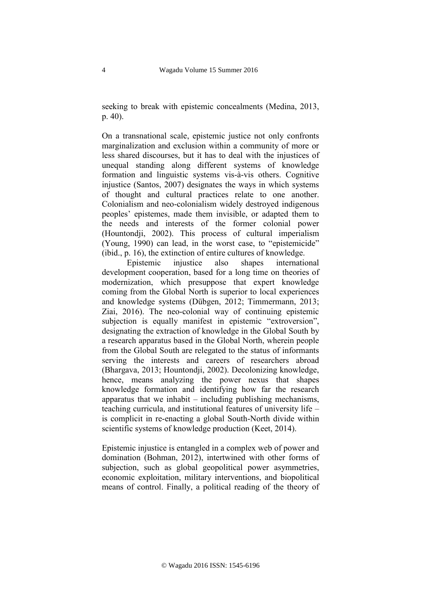seeking to break with epistemic concealments (Medina, 2013, p. 40).

On a transnational scale, epistemic justice not only confronts marginalization and exclusion within a community of more or less shared discourses, but it has to deal with the injustices of unequal standing along different systems of knowledge formation and linguistic systems vis-à-vis others. Cognitive injustice (Santos, 2007) designates the ways in which systems of thought and cultural practices relate to one another. Colonialism and neo-colonialism widely destroyed indigenous peoples' epistemes, made them invisible, or adapted them to the needs and interests of the former colonial power (Hountondji, 2002). This process of cultural imperialism (Young, 1990) can lead, in the worst case, to "epistemicide" (ibid., p. 16), the extinction of entire cultures of knowledge.

Epistemic injustice also shapes international development cooperation, based for a long time on theories of modernization, which presuppose that expert knowledge coming from the Global North is superior to local experiences and knowledge systems (Dübgen, 2012; Timmermann, 2013; Ziai, 2016). The neo-colonial way of continuing epistemic subjection is equally manifest in epistemic "extroversion", designating the extraction of knowledge in the Global South by a research apparatus based in the Global North, wherein people from the Global South are relegated to the status of informants serving the interests and careers of researchers abroad (Bhargava, 2013; Hountondji, 2002). Decolonizing knowledge, hence, means analyzing the power nexus that shapes knowledge formation and identifying how far the research apparatus that we inhabit – including publishing mechanisms, teaching curricula, and institutional features of university life – is complicit in re-enacting a global South-North divide within scientific systems of knowledge production (Keet, 2014).

Epistemic injustice is entangled in a complex web of power and domination (Bohman, 2012), intertwined with other forms of subjection, such as global geopolitical power asymmetries, economic exploitation, military interventions, and biopolitical means of control. Finally, a political reading of the theory of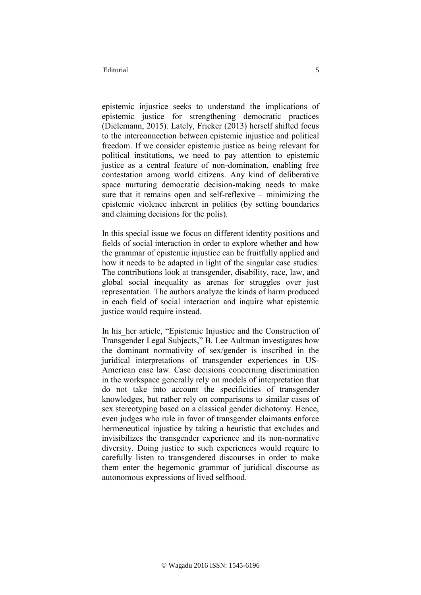epistemic injustice seeks to understand the implications of epistemic justice for strengthening democratic practices (Dielemann, 2015). Lately, Fricker (2013) herself shifted focus to the interconnection between epistemic injustice and political freedom. If we consider epistemic justice as being relevant for political institutions, we need to pay attention to epistemic justice as a central feature of non-domination, enabling free contestation among world citizens. Any kind of deliberative space nurturing democratic decision-making needs to make sure that it remains open and self-reflexive – minimizing the epistemic violence inherent in politics (by setting boundaries and claiming decisions for the polis).

In this special issue we focus on different identity positions and fields of social interaction in order to explore whether and how the grammar of epistemic injustice can be fruitfully applied and how it needs to be adapted in light of the singular case studies. The contributions look at transgender, disability, race, law, and global social inequality as arenas for struggles over just representation. The authors analyze the kinds of harm produced in each field of social interaction and inquire what epistemic justice would require instead.

In his her article, "Epistemic Injustice and the Construction of Transgender Legal Subjects," B. Lee Aultman investigates how the dominant normativity of sex/gender is inscribed in the juridical interpretations of transgender experiences in US-American case law. Case decisions concerning discrimination in the workspace generally rely on models of interpretation that do not take into account the specificities of transgender knowledges, but rather rely on comparisons to similar cases of sex stereotyping based on a classical gender dichotomy. Hence, even judges who rule in favor of transgender claimants enforce hermeneutical injustice by taking a heuristic that excludes and invisibilizes the transgender experience and its non-normative diversity. Doing justice to such experiences would require to carefully listen to transgendered discourses in order to make them enter the hegemonic grammar of juridical discourse as autonomous expressions of lived selfhood.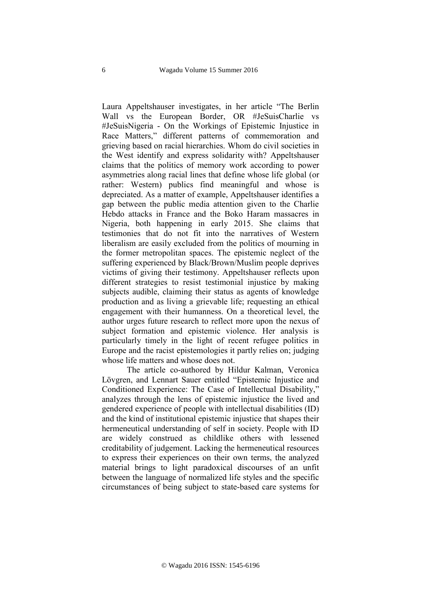Laura Appeltshauser investigates, in her article "The Berlin Wall vs the European Border, OR #JeSuisCharlie vs #JeSuisNigeria - On the Workings of Epistemic Injustice in Race Matters," different patterns of commemoration and grieving based on racial hierarchies. Whom do civil societies in the West identify and express solidarity with? Appeltshauser claims that the politics of memory work according to power asymmetries along racial lines that define whose life global (or rather: Western) publics find meaningful and whose is depreciated. As a matter of example, Appeltshauser identifies a gap between the public media attention given to the Charlie Hebdo attacks in France and the Boko Haram massacres in Nigeria, both happening in early 2015. She claims that testimonies that do not fit into the narratives of Western liberalism are easily excluded from the politics of mourning in the former metropolitan spaces. The epistemic neglect of the suffering experienced by Black/Brown/Muslim people deprives victims of giving their testimony. Appeltshauser reflects upon different strategies to resist testimonial injustice by making subjects audible, claiming their status as agents of knowledge production and as living a grievable life; requesting an ethical engagement with their humanness. On a theoretical level, the author urges future research to reflect more upon the nexus of subject formation and epistemic violence. Her analysis is particularly timely in the light of recent refugee politics in Europe and the racist epistemologies it partly relies on; judging whose life matters and whose does not.

The article co-authored by Hildur Kalman, Veronica Lövgren, and Lennart Sauer entitled "Epistemic Injustice and Conditioned Experience: The Case of Intellectual Disability," analyzes through the lens of epistemic injustice the lived and gendered experience of people with intellectual disabilities (ID) and the kind of institutional epistemic injustice that shapes their hermeneutical understanding of self in society. People with ID are widely construed as childlike others with lessened creditability of judgement. Lacking the hermeneutical resources to express their experiences on their own terms, the analyzed material brings to light paradoxical discourses of an unfit between the language of normalized life styles and the specific circumstances of being subject to state-based care systems for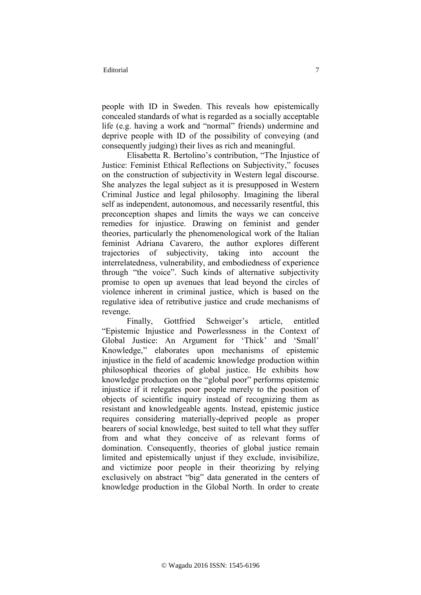people with ID in Sweden. This reveals how epistemically concealed standards of what is regarded as a socially acceptable life (e.g. having a work and "normal" friends) undermine and deprive people with ID of the possibility of conveying (and consequently judging) their lives as rich and meaningful.

Elisabetta R. Bertolino's contribution, "The Injustice of Justice: Feminist Ethical Reflections on Subjectivity," focuses on the construction of subjectivity in Western legal discourse. She analyzes the legal subject as it is presupposed in Western Criminal Justice and legal philosophy. Imagining the liberal self as independent, autonomous, and necessarily resentful, this preconception shapes and limits the ways we can conceive remedies for injustice. Drawing on feminist and gender theories, particularly the phenomenological work of the Italian feminist Adriana Cavarero, the author explores different trajectories of subjectivity, taking into account the interrelatedness, vulnerability, and embodiedness of experience through "the voice". Such kinds of alternative subjectivity promise to open up avenues that lead beyond the circles of violence inherent in criminal justice, which is based on the regulative idea of retributive justice and crude mechanisms of revenge.

Finally, Gottfried Schweiger's article, entitled "Epistemic Injustice and Powerlessness in the Context of Global Justice: An Argument for 'Thick' and 'Small' Knowledge," elaborates upon mechanisms of epistemic injustice in the field of academic knowledge production within philosophical theories of global justice. He exhibits how knowledge production on the "global poor" performs epistemic injustice if it relegates poor people merely to the position of objects of scientific inquiry instead of recognizing them as resistant and knowledgeable agents. Instead, epistemic justice requires considering materially-deprived people as proper bearers of social knowledge, best suited to tell what they suffer from and what they conceive of as relevant forms of domination. Consequently, theories of global justice remain limited and epistemically unjust if they exclude, invisibilize, and victimize poor people in their theorizing by relying exclusively on abstract "big" data generated in the centers of knowledge production in the Global North. In order to create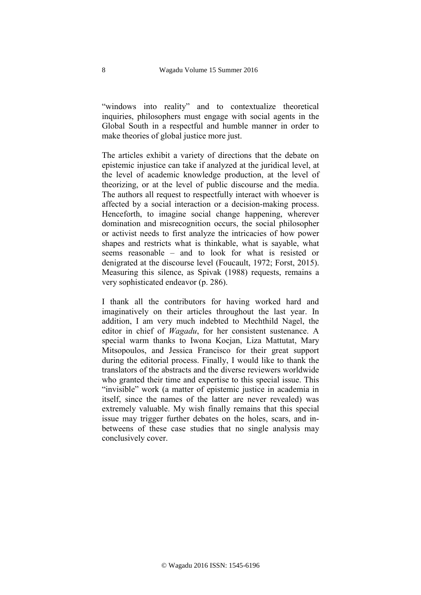"windows into reality" and to contextualize theoretical inquiries, philosophers must engage with social agents in the Global South in a respectful and humble manner in order to make theories of global justice more just.

The articles exhibit a variety of directions that the debate on epistemic injustice can take if analyzed at the juridical level, at the level of academic knowledge production, at the level of theorizing, or at the level of public discourse and the media. The authors all request to respectfully interact with whoever is affected by a social interaction or a decision-making process. Henceforth, to imagine social change happening, wherever domination and misrecognition occurs, the social philosopher or activist needs to first analyze the intricacies of how power shapes and restricts what is thinkable, what is sayable, what seems reasonable – and to look for what is resisted or denigrated at the discourse level (Foucault, 1972; Forst, 2015). Measuring this silence, as Spivak (1988) requests, remains a very sophisticated endeavor (p. 286).

I thank all the contributors for having worked hard and imaginatively on their articles throughout the last year. In addition, I am very much indebted to Mechthild Nagel, the editor in chief of *Wagadu*, for her consistent sustenance. A special warm thanks to Iwona Kocjan, Liza Mattutat, Mary Mitsopoulos, and Jessica Francisco for their great support during the editorial process. Finally, I would like to thank the translators of the abstracts and the diverse reviewers worldwide who granted their time and expertise to this special issue. This "invisible" work (a matter of epistemic justice in academia in itself, since the names of the latter are never revealed) was extremely valuable. My wish finally remains that this special issue may trigger further debates on the holes, scars, and inbetweens of these case studies that no single analysis may conclusively cover.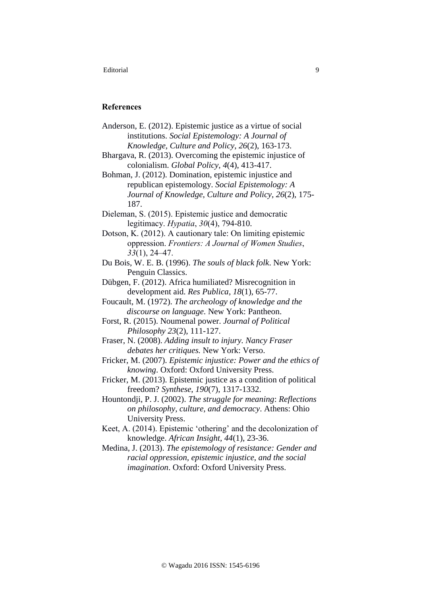## **References**

| Anderson, E. (2012). Epistemic justice as a virtue of social |
|--------------------------------------------------------------|
| institutions. Social Epistemology: A Journal of              |
| Knowledge, Culture and Policy, 26(2), 163-173.               |

Bhargava, R. (2013). Overcoming the epistemic injustice of colonialism. *Global Policy*, *4*(4), 413-417.

Bohman, J. (2012). Domination, epistemic injustice and republican epistemology. *Social Epistemology: A Journal of Knowledge, Culture and Policy*, *26*(2), 175- 187.

Dieleman, S. (2015). Epistemic justice and democratic legitimacy. *Hypatia*, *30*(4), 794-810.

Dotson, K. (2012). A cautionary tale: On limiting epistemic oppression. *Frontiers: A Journal of Women Studies*, *33*(1), 24–47.

Du Bois, W. E. B. (1996). *The souls of black folk*. New York: Penguin Classics.

Dübgen, F. (2012). Africa humiliated? Misrecognition in development aid. *Res Publica*, *18*(1), 65-77.

Foucault, M. (1972). *The archeology of knowledge and the discourse on language*. New York: Pantheon.

Forst, R. (2015). Noumenal power. *Journal of Political Philosophy 23*(2), 111-127.

Fraser, N. (2008). *Adding insult to injury. Nancy Fraser debates her critiques.* New York: Verso.

Fricker, M. (2007). *Epistemic injustice: Power and the ethics of knowing*. Oxford: Oxford University Press.

Fricker, M. (2013). Epistemic justice as a condition of political freedom? *Synthese*, *190*(7), 1317-1332.

Hountondji, P. J. (2002). *The struggle for meaning*: *Reflections on philosophy, culture, and democracy*. Athens: Ohio University Press.

Keet, A. (2014). Epistemic 'othering' and the decolonization of knowledge. *African Insight, 44*(1), 23-36.

Medina, J. (2013). *The epistemology of resistance: Gender and racial oppression, epistemic injustice, and the social imagination*. Oxford: Oxford University Press.